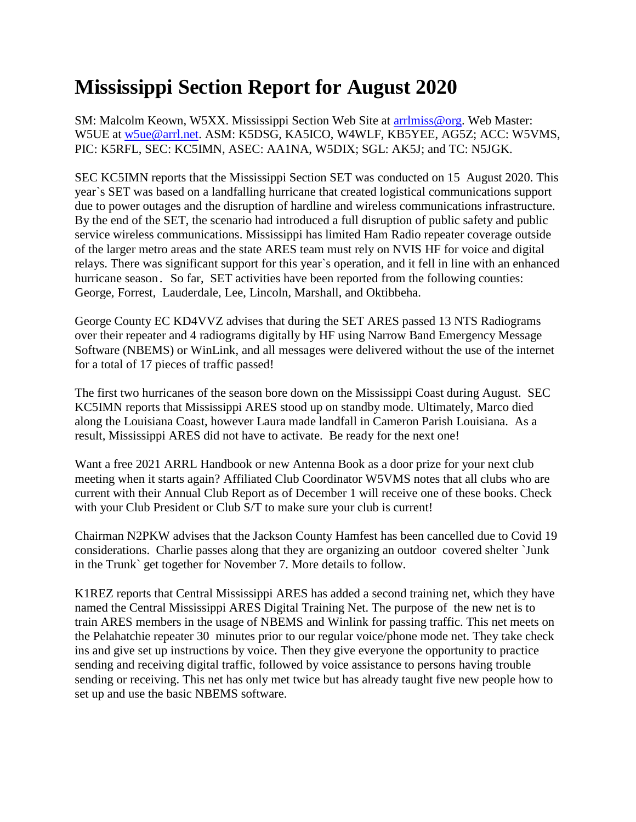## **Mississippi Section Report for August 2020**

SM: Malcolm Keown, W5XX. Mississippi Section Web Site at [arrlmiss@org.](mailto:arrlmiss@org) Web Master: W5UE at [w5ue@arrl.net.](mailto:w5ue@arrl.net) ASM: K5DSG, KA5ICO, W4WLF, KB5YEE, AG5Z; ACC: W5VMS, PIC: K5RFL, SEC: KC5IMN, ASEC: AA1NA, W5DIX; SGL: AK5J; and TC: N5JGK.

SEC KC5IMN reports that the Mississippi Section SET was conducted on 15 August 2020. This year`s SET was based on a landfalling hurricane that created logistical communications support due to power outages and the disruption of hardline and wireless communications infrastructure. By the end of the SET, the scenario had introduced a full disruption of public safety and public service wireless communications. Mississippi has limited Ham Radio repeater coverage outside of the larger metro areas and the state ARES team must rely on NVIS HF for voice and digital relays. There was significant support for this year`s operation, and it fell in line with an enhanced hurricane season. So far, SET activities have been reported from the following counties: George, Forrest, Lauderdale, Lee, Lincoln, Marshall, and Oktibbeha.

George County EC KD4VVZ advises that during the SET ARES passed 13 NTS Radiograms over their repeater and 4 radiograms digitally by HF using Narrow Band Emergency Message Software (NBEMS) or WinLink, and all messages were delivered without the use of the internet for a total of 17 pieces of traffic passed!

The first two hurricanes of the season bore down on the Mississippi Coast during August. SEC KC5IMN reports that Mississippi ARES stood up on standby mode. Ultimately, Marco died along the Louisiana Coast, however Laura made landfall in Cameron Parish Louisiana. As a result, Mississippi ARES did not have to activate. Be ready for the next one!

Want a free 2021 ARRL Handbook or new Antenna Book as a door prize for your next club meeting when it starts again? Affiliated Club Coordinator W5VMS notes that all clubs who are current with their Annual Club Report as of December 1 will receive one of these books. Check with your Club President or Club S/T to make sure your club is current!

Chairman N2PKW advises that the Jackson County Hamfest has been cancelled due to Covid 19 considerations. Charlie passes along that they are organizing an outdoor covered shelter `Junk in the Trunk` get together for November 7. More details to follow.

K1REZ reports that Central Mississippi ARES has added a second training net, which they have named the Central Mississippi ARES Digital Training Net. The purpose of the new net is to train ARES members in the usage of NBEMS and Winlink for passing traffic. This net meets on the Pelahatchie repeater 30 minutes prior to our regular voice/phone mode net. They take check ins and give set up instructions by voice. Then they give everyone the opportunity to practice sending and receiving digital traffic, followed by voice assistance to persons having trouble sending or receiving. This net has only met twice but has already taught five new people how to set up and use the basic NBEMS software.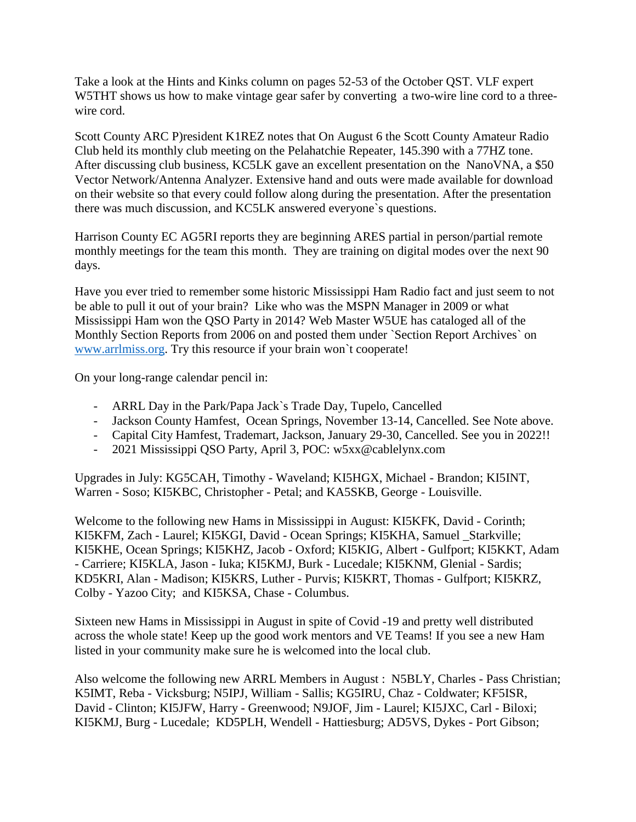Take a look at the Hints and Kinks column on pages 52-53 of the October QST. VLF expert W5THT shows us how to make vintage gear safer by converting a two-wire line cord to a threewire cord.

Scott County ARC P)resident K1REZ notes that On August 6 the Scott County Amateur Radio Club held its monthly club meeting on the Pelahatchie Repeater, 145.390 with a 77HZ tone. After discussing club business, KC5LK gave an excellent presentation on the NanoVNA, a \$50 Vector Network/Antenna Analyzer. Extensive hand and outs were made available for download on their website so that every could follow along during the presentation. After the presentation there was much discussion, and KC5LK answered everyone`s questions.

Harrison County EC AG5RI reports they are beginning ARES partial in person/partial remote monthly meetings for the team this month. They are training on digital modes over the next 90 days.

Have you ever tried to remember some historic Mississippi Ham Radio fact and just seem to not be able to pull it out of your brain? Like who was the MSPN Manager in 2009 or what Mississippi Ham won the QSO Party in 2014? Web Master W5UE has cataloged all of the Monthly Section Reports from 2006 on and posted them under `Section Report Archives` on [www.arrlmiss.org.](http://www.arrlmiss.org/) Try this resource if your brain won`t cooperate!

On your long-range calendar pencil in:

- ARRL Day in the Park/Papa Jack`s Trade Day, Tupelo, Cancelled
- Jackson County Hamfest, Ocean Springs, November 13-14, Cancelled. See Note above.
- Capital City Hamfest, Trademart, Jackson, January 29-30, Cancelled. See you in 2022!!
- 2021 Mississippi QSO Party, April 3, POC: w5xx@cablelynx.com

Upgrades in July: KG5CAH, Timothy - Waveland; KI5HGX, Michael - Brandon; KI5INT, Warren - Soso; KI5KBC, Christopher - Petal; and KA5SKB, George - Louisville.

Welcome to the following new Hams in Mississippi in August: KI5KFK, David - Corinth; KI5KFM, Zach - Laurel; KI5KGI, David - Ocean Springs; KI5KHA, Samuel \_Starkville; KI5KHE, Ocean Springs; KI5KHZ, Jacob - Oxford; KI5KIG, Albert - Gulfport; KI5KKT, Adam - Carriere; KI5KLA, Jason - Iuka; KI5KMJ, Burk - Lucedale; KI5KNM, Glenial - Sardis; KD5KRI, Alan - Madison; KI5KRS, Luther - Purvis; KI5KRT, Thomas - Gulfport; KI5KRZ, Colby - Yazoo City; and KI5KSA, Chase - Columbus.

Sixteen new Hams in Mississippi in August in spite of Covid -19 and pretty well distributed across the whole state! Keep up the good work mentors and VE Teams! If you see a new Ham listed in your community make sure he is welcomed into the local club.

Also welcome the following new ARRL Members in August : N5BLY, Charles - Pass Christian; K5IMT, Reba - Vicksburg; N5IPJ, William - Sallis; KG5IRU, Chaz - Coldwater; KF5ISR, David - Clinton; KI5JFW, Harry - Greenwood; N9JOF, Jim - Laurel; KI5JXC, Carl - Biloxi; KI5KMJ, Burg - Lucedale; KD5PLH, Wendell - Hattiesburg; AD5VS, Dykes - Port Gibson;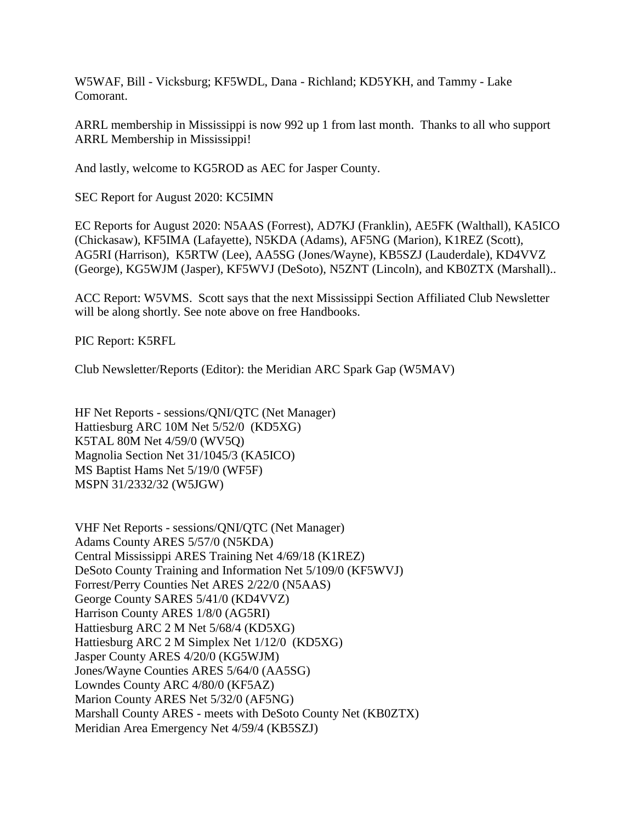W5WAF, Bill - Vicksburg; KF5WDL, Dana - Richland; KD5YKH, and Tammy - Lake Comorant.

ARRL membership in Mississippi is now 992 up 1 from last month. Thanks to all who support ARRL Membership in Mississippi!

And lastly, welcome to KG5ROD as AEC for Jasper County.

SEC Report for August 2020: KC5IMN

EC Reports for August 2020: N5AAS (Forrest), AD7KJ (Franklin), AE5FK (Walthall), KA5ICO (Chickasaw), KF5IMA (Lafayette), N5KDA (Adams), AF5NG (Marion), K1REZ (Scott), AG5RI (Harrison), K5RTW (Lee), AA5SG (Jones/Wayne), KB5SZJ (Lauderdale), KD4VVZ (George), KG5WJM (Jasper), KF5WVJ (DeSoto), N5ZNT (Lincoln), and KB0ZTX (Marshall)..

ACC Report: W5VMS. Scott says that the next Mississippi Section Affiliated Club Newsletter will be along shortly. See note above on free Handbooks.

PIC Report: K5RFL

Club Newsletter/Reports (Editor): the Meridian ARC Spark Gap (W5MAV)

HF Net Reports - sessions/QNI/QTC (Net Manager) Hattiesburg ARC 10M Net 5/52/0 (KD5XG) K5TAL 80M Net 4/59/0 (WV5Q) Magnolia Section Net 31/1045/3 (KA5ICO) MS Baptist Hams Net 5/19/0 (WF5F) MSPN 31/2332/32 (W5JGW)

VHF Net Reports - sessions/QNI/QTC (Net Manager) Adams County ARES 5/57/0 (N5KDA) Central Mississippi ARES Training Net 4/69/18 (K1REZ) DeSoto County Training and Information Net 5/109/0 (KF5WVJ) Forrest/Perry Counties Net ARES 2/22/0 (N5AAS) George County SARES 5/41/0 (KD4VVZ) Harrison County ARES 1/8/0 (AG5RI) Hattiesburg ARC 2 M Net 5/68/4 (KD5XG) Hattiesburg ARC 2 M Simplex Net 1/12/0 (KD5XG) Jasper County ARES 4/20/0 (KG5WJM) Jones/Wayne Counties ARES 5/64/0 (AA5SG) Lowndes County ARC 4/80/0 (KF5AZ) Marion County ARES Net 5/32/0 (AF5NG) Marshall County ARES - meets with DeSoto County Net (KB0ZTX) Meridian Area Emergency Net 4/59/4 (KB5SZJ)